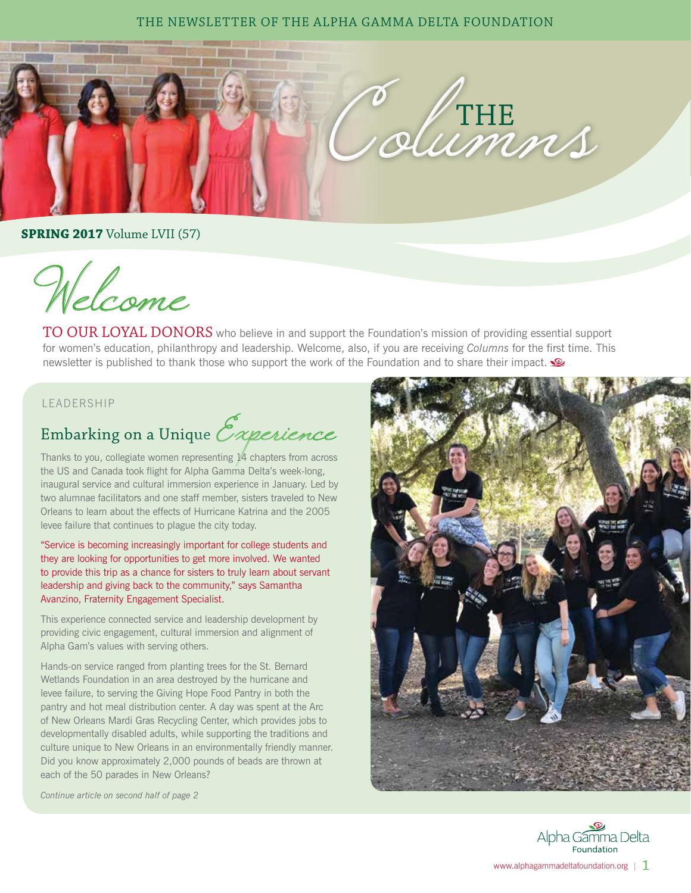### THE NEWSLETTER OF THE ALPHA GAMMA DELTA FOUNDATION



**SPRING 2017** Volume LVII (57)

Welcome

TO OUR LOYAL DONORS who believe in and support the Foundation's mission of providing essential support for women's education, philanthropy and leadership. Welcome, also, if you are receiving *Columns* for the first time. This newsletter is published to thank those who support the work of the Foundation and to share their impact.

### LEADERSHIP

# Embarking on a Unique Experience

Thanks to you, collegiate women representing 14 chapters from across the US and Canada took flight for Alpha Gamma Delta's week-long, inaugural service and cultural immersion experience in January. Led by two alumnae facilitators and one staff member, sisters traveled to New Orleans to learn about the effects of Hurricane Katrina and the 2005 levee failure that continues to plague the city today.

"Service is becoming increasingly important for college students and they are looking for opportunities to get more involved. We wanted to provide this trip as a chance for sisters to truly learn about servant leadership and giving back to the community," says Samantha Avanzino, Fraternity Engagement Specialist.

This experience connected service and leadership development by providing civic engagement, cultural immersion and alignment of Alpha Gam's values with serving others.

Hands-on service ranged from planting trees for the St. Bernard Wetlands Foundation in an area destroyed by the hurricane and levee failure, to serving the Giving Hope Food Pantry in both the pantry and hot meal distribution center. A day was spent at the Arc of New Orleans Mardi Gras Recycling Center, which provides jobs to developmentally disabled adults, while supporting the traditions and culture unique to New Orleans in an environmentally friendly manner. Did you know approximately 2,000 pounds of beads are thrown at each of the 50 parades in New Orleans?

*Continue article on second half of page 2*



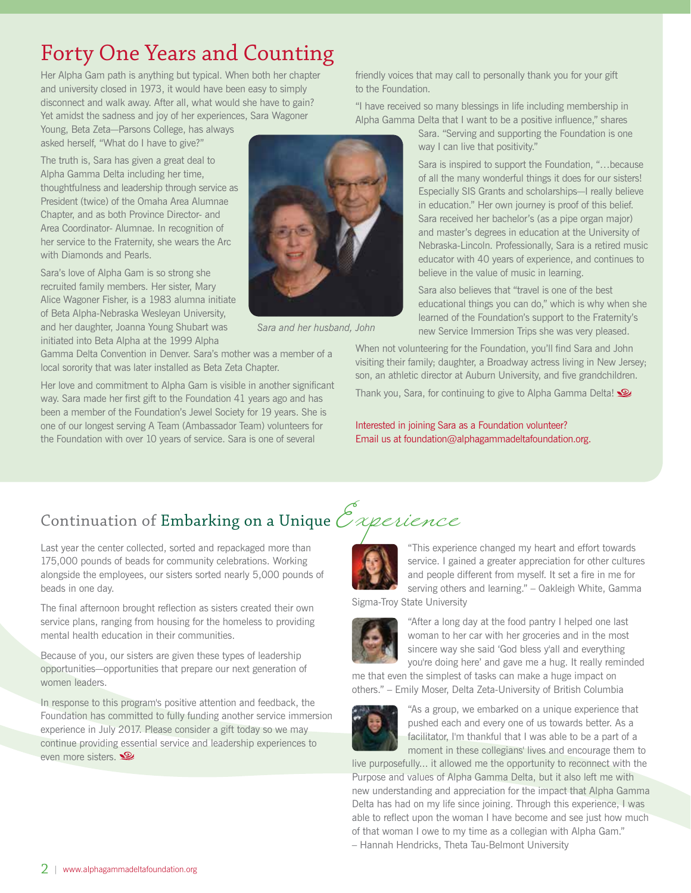## Forty One Years and Counting

Her Alpha Gam path is anything but typical. When both her chapter and university closed in 1973, it would have been easy to simply disconnect and walk away. After all, what would she have to gain? Yet amidst the sadness and joy of her experiences, Sara Wagoner

Young, Beta Zeta—Parsons College, has always asked herself, "What do I have to give?"

The truth is, Sara has given a great deal to Alpha Gamma Delta including her time, thoughtfulness and leadership through service as President (twice) of the Omaha Area Alumnae Chapter, and as both Province Director- and Area Coordinator- Alumnae. In recognition of her service to the Fraternity, she wears the Arc with Diamonds and Pearls.

Sara's love of Alpha Gam is so strong she recruited family members. Her sister, Mary Alice Wagoner Fisher, is a 1983 alumna initiate of Beta Alpha-Nebraska Wesleyan University, and her daughter, Joanna Young Shubart was initiated into Beta Alpha at the 1999 Alpha

Gamma Delta Convention in Denver. Sara's mother was a member of a local sorority that was later installed as Beta Zeta Chapter.

Her love and commitment to Alpha Gam is visible in another significant way. Sara made her first gift to the Foundation 41 years ago and has been a member of the Foundation's Jewel Society for 19 years. She is one of our longest serving A Team (Ambassador Team) volunteers for the Foundation with over 10 years of service. Sara is one of several

 *Sara and her husband, John*

friendly voices that may call to personally thank you for your gift to the Foundation.

"I have received so many blessings in life including membership in Alpha Gamma Delta that I want to be a positive influence," shares

Sara. "Serving and supporting the Foundation is one way I can live that positivity."

Sara is inspired to support the Foundation, "…because of all the many wonderful things it does for our sisters! Especially SIS Grants and scholarships—I really believe in education." Her own journey is proof of this belief. Sara received her bachelor's (as a pipe organ major) and master's degrees in education at the University of Nebraska-Lincoln. Professionally, Sara is a retired music educator with 40 years of experience, and continues to believe in the value of music in learning.

Sara also believes that "travel is one of the best educational things you can do," which is why when she learned of the Foundation's support to the Fraternity's new Service Immersion Trips she was very pleased.

When not volunteering for the Foundation, you'll find Sara and John visiting their family; daughter, a Broadway actress living in New Jersey; son, an athletic director at Auburn University, and five grandchildren.

Thank you, Sara, for continuing to give to Alpha Gamma Delta!

Interested in joining Sara as a Foundation volunteer? Email us at foundation@alphagammadeltafoundation.org.

## Continuation of Embarking on a Unique  $\mathcal{E}_{\mathcal{X}}$ perience

Last year the center collected, sorted and repackaged more than 175,000 pounds of beads for community celebrations. Working alongside the employees, our sisters sorted nearly 5,000 pounds of beads in one day.

The final afternoon brought reflection as sisters created their own service plans, ranging from housing for the homeless to providing mental health education in their communities.

Because of you, our sisters are given these types of leadership opportunities—opportunities that prepare our next generation of women leaders.

In response to this program's positive attention and feedback, the Foundation has committed to fully funding another service immersion experience in July 2017. Please consider a gift today so we may continue providing essential service and leadership experiences to even more sisters.

"This experience changed my heart and effort towards service. I gained a greater appreciation for other cultures and people different from myself. It set a fire in me for serving others and learning." – Oakleigh White, Gamma

Sigma-Troy State University



"After a long day at the food pantry I helped one last woman to her car with her groceries and in the most sincere way she said 'God bless y'all and everything you're doing here' and gave me a hug. It really reminded

me that even the simplest of tasks can make a huge impact on others." – Emily Moser, Delta Zeta-University of British Columbia



"As a group, we embarked on a unique experience that pushed each and every one of us towards better. As a facilitator, I'm thankful that I was able to be a part of a moment in these collegians' lives and encourage them to

live purposefully... it allowed me the opportunity to reconnect with the Purpose and values of Alpha Gamma Delta, but it also left me with new understanding and appreciation for the impact that Alpha Gamma Delta has had on my life since joining. Through this experience, I was able to reflect upon the woman I have become and see just how much of that woman I owe to my time as a collegian with Alpha Gam." – Hannah Hendricks, Theta Tau-Belmont University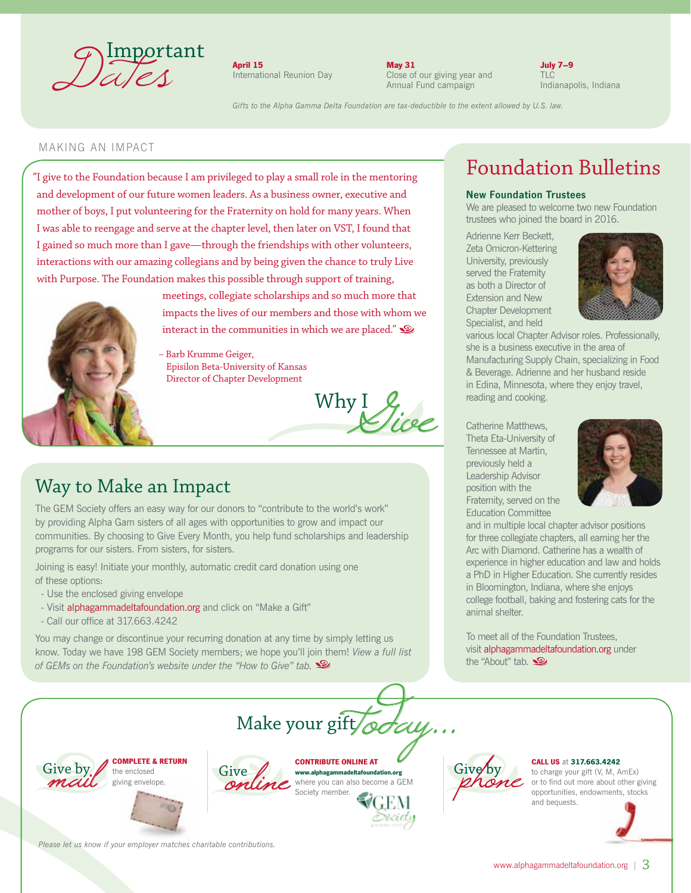

April 15 International Reunion Day May 31 Close of our giving year and Annual Fund campaign

July 7–9

*Gifts to the Alpha Gamma Delta Foundation are tax-deductible to the extent allowed by U.S. law.*

#### MAKING AN IMPACT

"I give to the Foundation because I am privileged to play a small role in the mentoring and development of our future women leaders. As a business owner, executive and mother of boys, I put volunteering for the Fraternity on hold for many years. When I was able to reengage and serve at the chapter level, then later on VST, I found that I gained so much more than I gave—through the friendships with other volunteers, interactions with our amazing collegians and by being given the chance to truly Live with Purpose. The Foundation makes this possible through support of training,



meetings, collegiate scholarships and so much more that impacts the lives of our members and those with whom we interact in the communities in which we are placed."

– Barb Krumme Geiger, Episilon Beta-University of Kansas Director of Chapter Development

Why  $I$  Vire

### Way to Make an Impact

The GEM Society offers an easy way for our donors to "contribute to the world's work" by providing Alpha Gam sisters of all ages with opportunities to grow and impact our communities. By choosing to Give Every Month, you help fund scholarships and leadership programs for our sisters. From sisters, for sisters.

Joining is easy! Initiate your monthly, automatic credit card donation using one of these options:

- Use the enclosed giving envelope
- Visit alphagammadeltafoundation.org and click on "Make a Gift"
- Call our office at 317.663.4242

You may change or discontinue your recurring donation at any time by simply letting us know. Today we have 198 GEM Society members; we hope you'll join them! *View a full list of GEMs on the Foundation's website under the "How to Give" tab.*









where you can also become a GEM



#### CALL US at 317.663.4242

to charge your gift (V, M, AmEx) or to find out more about other giving opportunities, endowments, stocks and bequests.



*Please let us know if your employer matches charitable contributions.*

## Foundation Bulletins

#### New Foundation Trustees

We are pleased to welcome two new Foundation trustees who joined the board in 2016.

Adrienne Kerr Beckett, Zeta Omicron-Kettering University, previously served the Fraternity as both a Director of Extension and New Chapter Development Specialist, and held



various local Chapter Advisor roles. Professionally, she is a business executive in the area of Manufacturing Supply Chain, specializing in Food & Beverage. Adrienne and her husband reside in Edina, Minnesota, where they enjoy travel, reading and cooking.

Catherine Matthews, Theta Eta-University of Tennessee at Martin, previously held a Leadership Advisor position with the Fraternity, served on the Education Committee



and in multiple local chapter advisor positions for three collegiate chapters, all earning her the Arc with Diamond. Catherine has a wealth of experience in higher education and law and holds a PhD in Higher Education. She currently resides in Bloomington, Indiana, where she enjoys college football, baking and fostering cats for the animal shelter.

To meet all of the Foundation Trustees, visit alphagammadeltafoundation.org under the "About" tab.